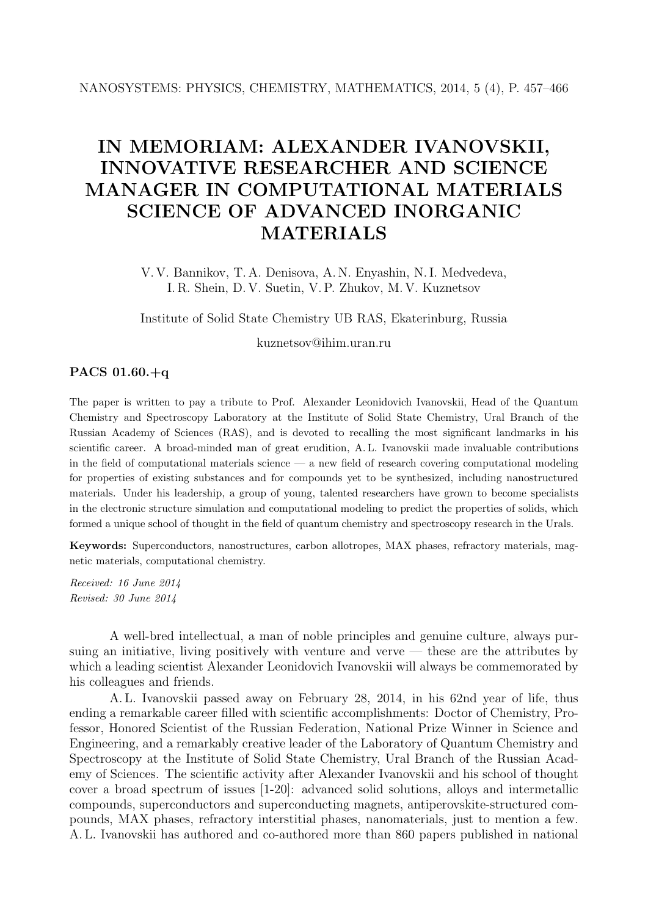## IN MEMORIAM: ALEXANDER IVANOVSKII, INNOVATIVE RESEARCHER AND SCIENCE MANAGER IN COMPUTATIONAL MATERIALS SCIENCE OF ADVANCED INORGANIC MATERIALS

V. V. Bannikov, T. A. Denisova, A. N. Enyashin, N. I. Medvedeva, I. R. Shein, D. V. Suetin, V. P. Zhukov, M. V. Kuznetsov

Institute of Solid State Chemistry UB RAS, Ekaterinburg, Russia

kuznetsov@ihim.uran.ru

## PACS 01.60.+q

The paper is written to pay a tribute to Prof. Alexander Leonidovich Ivanovskii, Head of the Quantum Chemistry and Spectroscopy Laboratory at the Institute of Solid State Chemistry, Ural Branch of the Russian Academy of Sciences (RAS), and is devoted to recalling the most significant landmarks in his scientific career. A broad-minded man of great erudition, A. L. Ivanovskii made invaluable contributions in the field of computational materials science — a new field of research covering computational modeling for properties of existing substances and for compounds yet to be synthesized, including nanostructured materials. Under his leadership, a group of young, talented researchers have grown to become specialists in the electronic structure simulation and computational modeling to predict the properties of solids, which formed a unique school of thought in the field of quantum chemistry and spectroscopy research in the Urals.

Keywords: Superconductors, nanostructures, carbon allotropes, MAX phases, refractory materials, magnetic materials, computational chemistry.

Received: 16 June 2014 Revised: 30 June 2014

A well-bred intellectual, a man of noble principles and genuine culture, always pursuing an initiative, living positively with venture and verve — these are the attributes by which a leading scientist Alexander Leonidovich Ivanovskii will always be commemorated by his colleagues and friends.

A. L. Ivanovskii passed away on February 28, 2014, in his 62nd year of life, thus ending a remarkable career filled with scientific accomplishments: Doctor of Chemistry, Professor, Honored Scientist of the Russian Federation, National Prize Winner in Science and Engineering, and a remarkably creative leader of the Laboratory of Quantum Chemistry and Spectroscopy at the Institute of Solid State Chemistry, Ural Branch of the Russian Academy of Sciences. The scientific activity after Alexander Ivanovskii and his school of thought cover a broad spectrum of issues [1-20]: advanced solid solutions, alloys and intermetallic compounds, superconductors and superconducting magnets, antiperovskite-structured compounds, MAX phases, refractory interstitial phases, nanomaterials, just to mention a few. A. L. Ivanovskii has authored and co-authored more than 860 papers published in national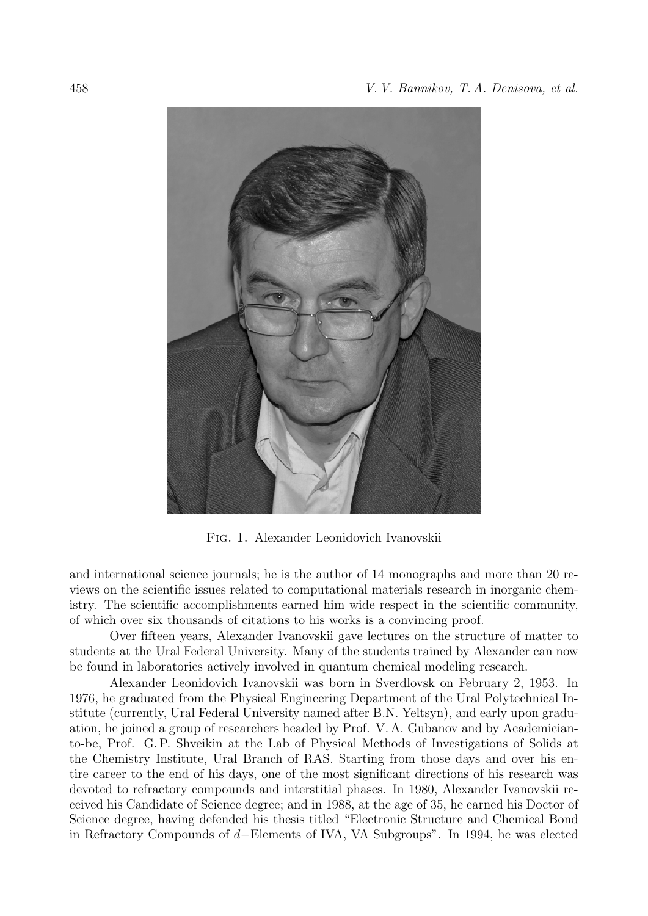

Fig. 1. Alexander Leonidovich Ivanovskii

and international science journals; he is the author of 14 monographs and more than 20 reviews on the scientific issues related to computational materials research in inorganic chemistry. The scientific accomplishments earned him wide respect in the scientific community, of which over six thousands of citations to his works is a convincing proof.

Over fifteen years, Alexander Ivanovskii gave lectures on the structure of matter to students at the Ural Federal University. Many of the students trained by Alexander can now be found in laboratories actively involved in quantum chemical modeling research.

Alexander Leonidovich Ivanovskii was born in Sverdlovsk on February 2, 1953. In 1976, he graduated from the Physical Engineering Department of the Ural Polytechnical Institute (currently, Ural Federal University named after B.N. Yeltsyn), and early upon graduation, he joined a group of researchers headed by Prof. V. A. Gubanov and by Academicianto-be, Prof. G. P. Shveikin at the Lab of Physical Methods of Investigations of Solids at the Chemistry Institute, Ural Branch of RAS. Starting from those days and over his entire career to the end of his days, one of the most significant directions of his research was devoted to refractory compounds and interstitial phases. In 1980, Alexander Ivanovskii received his Candidate of Science degree; and in 1988, at the age of 35, he earned his Doctor of Science degree, having defended his thesis titled "Electronic Structure and Chemical Bond in Refractory Compounds of d−Elements of IVA, VA Subgroups". In 1994, he was elected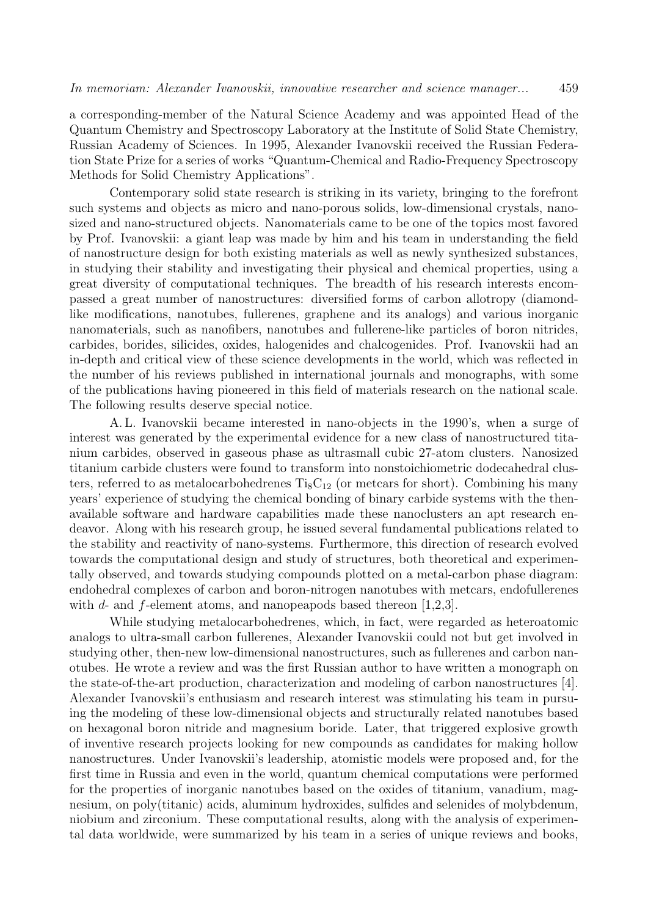a corresponding-member of the Natural Science Academy and was appointed Head of the Quantum Chemistry and Spectroscopy Laboratory at the Institute of Solid State Chemistry, Russian Academy of Sciences. In 1995, Alexander Ivanovskii received the Russian Federation State Prize for a series of works "Quantum-Chemical and Radio-Frequency Spectroscopy Methods for Solid Chemistry Applications".

Contemporary solid state research is striking in its variety, bringing to the forefront such systems and objects as micro and nano-porous solids, low-dimensional crystals, nanosized and nano-structured objects. Nanomaterials came to be one of the topics most favored by Prof. Ivanovskii: a giant leap was made by him and his team in understanding the field of nanostructure design for both existing materials as well as newly synthesized substances, in studying their stability and investigating their physical and chemical properties, using a great diversity of computational techniques. The breadth of his research interests encompassed a great number of nanostructures: diversified forms of carbon allotropy (diamondlike modifications, nanotubes, fullerenes, graphene and its analogs) and various inorganic nanomaterials, such as nanofibers, nanotubes and fullerene-like particles of boron nitrides, carbides, borides, silicides, oxides, halogenides and chalcogenides. Prof. Ivanovskii had an in-depth and critical view of these science developments in the world, which was reflected in the number of his reviews published in international journals and monographs, with some of the publications having pioneered in this field of materials research on the national scale. The following results deserve special notice.

A. L. Ivanovskii became interested in nano-objects in the 1990's, when a surge of interest was generated by the experimental evidence for a new class of nanostructured titanium carbides, observed in gaseous phase as ultrasmall cubic 27-atom clusters. Nanosized titanium carbide clusters were found to transform into nonstoichiometric dodecahedral clusters, referred to as metalocarbohedrenes  $Ti_8C_{12}$  (or metcars for short). Combining his many years' experience of studying the chemical bonding of binary carbide systems with the thenavailable software and hardware capabilities made these nanoclusters an apt research endeavor. Along with his research group, he issued several fundamental publications related to the stability and reactivity of nano-systems. Furthermore, this direction of research evolved towards the computational design and study of structures, both theoretical and experimentally observed, and towards studying compounds plotted on a metal-carbon phase diagram: endohedral complexes of carbon and boron-nitrogen nanotubes with metcars, endofullerenes with  $d$ - and  $f$ -element atoms, and nanopeapods based thereon [1,2,3].

While studying metalocarbohedrenes, which, in fact, were regarded as heteroatomic analogs to ultra-small carbon fullerenes, Alexander Ivanovskii could not but get involved in studying other, then-new low-dimensional nanostructures, such as fullerenes and carbon nanotubes. He wrote a review and was the first Russian author to have written a monograph on the state-of-the-art production, characterization and modeling of carbon nanostructures [4]. Alexander Ivanovskii's enthusiasm and research interest was stimulating his team in pursuing the modeling of these low-dimensional objects and structurally related nanotubes based on hexagonal boron nitride and magnesium boride. Later, that triggered explosive growth of inventive research projects looking for new compounds as candidates for making hollow nanostructures. Under Ivanovskii's leadership, atomistic models were proposed and, for the first time in Russia and even in the world, quantum chemical computations were performed for the properties of inorganic nanotubes based on the oxides of titanium, vanadium, magnesium, on poly(titanic) acids, aluminum hydroxides, sulfides and selenides of molybdenum, niobium and zirconium. These computational results, along with the analysis of experimental data worldwide, were summarized by his team in a series of unique reviews and books,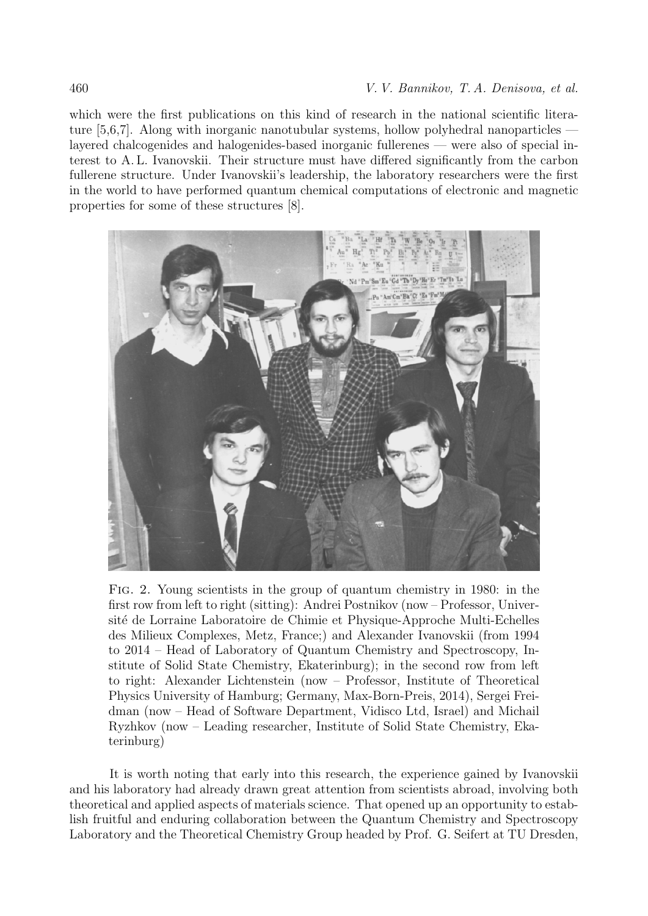which were the first publications on this kind of research in the national scientific literature [5,6,7]. Along with inorganic nanotubular systems, hollow polyhedral nanoparticles layered chalcogenides and halogenides-based inorganic fullerenes — were also of special interest to A. L. Ivanovskii. Their structure must have differed significantly from the carbon fullerene structure. Under Ivanovskii's leadership, the laboratory researchers were the first in the world to have performed quantum chemical computations of electronic and magnetic properties for some of these structures [8].



Fig. 2. Young scientists in the group of quantum chemistry in 1980: in the first row from left to right (sitting): Andrei Postnikov (now – Professor, Université de Lorraine Laboratoire de Chimie et Physique-Approche Multi-Echelles des Milieux Complexes, Metz, France;) and Alexander Ivanovskii (from 1994 to 2014 – Head of Laboratory of Quantum Chemistry and Spectroscopy, Institute of Solid State Chemistry, Ekaterinburg); in the second row from left to right: Alexander Lichtenstein (now – Professor, Institute of Theoretical Physics University of Hamburg; Germany, Max-Born-Preis, 2014), Sergei Freidman (now – Head of Software Department, Vidisco Ltd, Israel) and Michail Ryzhkov (now – Leading researcher, Institute of Solid State Chemistry, Ekaterinburg)

It is worth noting that early into this research, the experience gained by Ivanovskii and his laboratory had already drawn great attention from scientists abroad, involving both theoretical and applied aspects of materials science. That opened up an opportunity to establish fruitful and enduring collaboration between the Quantum Chemistry and Spectroscopy Laboratory and the Theoretical Chemistry Group headed by Prof. G. Seifert at TU Dresden,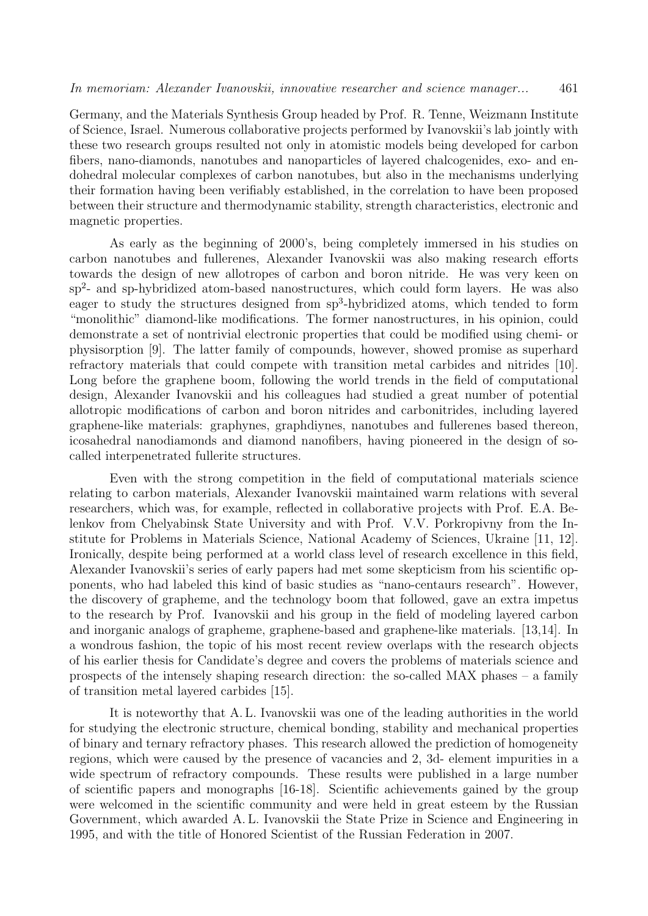Germany, and the Materials Synthesis Group headed by Prof. R. Tenne, Weizmann Institute of Science, Israel. Numerous collaborative projects performed by Ivanovskii's lab jointly with these two research groups resulted not only in atomistic models being developed for carbon fibers, nano-diamonds, nanotubes and nanoparticles of layered chalcogenides, exo- and endohedral molecular complexes of carbon nanotubes, but also in the mechanisms underlying their formation having been verifiably established, in the correlation to have been proposed between their structure and thermodynamic stability, strength characteristics, electronic and magnetic properties.

As early as the beginning of 2000's, being completely immersed in his studies on carbon nanotubes and fullerenes, Alexander Ivanovskii was also making research efforts towards the design of new allotropes of carbon and boron nitride. He was very keen on sp<sup>2</sup>- and sp-hybridized atom-based nanostructures, which could form layers. He was also eager to study the structures designed from sp<sup>3</sup>-hybridized atoms, which tended to form "monolithic" diamond-like modifications. The former nanostructures, in his opinion, could demonstrate a set of nontrivial electronic properties that could be modified using chemi- or physisorption [9]. The latter family of compounds, however, showed promise as superhard refractory materials that could compete with transition metal carbides and nitrides [10]. Long before the graphene boom, following the world trends in the field of computational design, Alexander Ivanovskii and his colleagues had studied a great number of potential allotropic modifications of carbon and boron nitrides and carbonitrides, including layered graphene-like materials: graphynes, graphdiynes, nanotubes and fullerenes based thereon, icosahedral nanodiamonds and diamond nanofibers, having pioneered in the design of socalled interpenetrated fullerite structures.

Even with the strong competition in the field of computational materials science relating to carbon materials, Alexander Ivanovskii maintained warm relations with several researchers, which was, for example, reflected in collaborative projects with Prof. E.A. Belenkov from Chelyabinsk State University and with Prof. V.V. Porkropivny from the Institute for Problems in Materials Science, National Academy of Sciences, Ukraine [11, 12]. Ironically, despite being performed at a world class level of research excellence in this field, Alexander Ivanovskii's series of early papers had met some skepticism from his scientific opponents, who had labeled this kind of basic studies as "nano-centaurs research". However, the discovery of grapheme, and the technology boom that followed, gave an extra impetus to the research by Prof. Ivanovskii and his group in the field of modeling layered carbon and inorganic analogs of grapheme, graphene-based and graphene-like materials. [13,14]. In a wondrous fashion, the topic of his most recent review overlaps with the research objects of his earlier thesis for Candidate's degree and covers the problems of materials science and prospects of the intensely shaping research direction: the so-called MAX phases – a family of transition metal layered carbides [15].

It is noteworthy that A. L. Ivanovskii was one of the leading authorities in the world for studying the electronic structure, chemical bonding, stability and mechanical properties of binary and ternary refractory phases. This research allowed the prediction of homogeneity regions, which were caused by the presence of vacancies and 2, 3d- element impurities in a wide spectrum of refractory compounds. These results were published in a large number of scientific papers and monographs [16-18]. Scientific achievements gained by the group were welcomed in the scientific community and were held in great esteem by the Russian Government, which awarded A. L. Ivanovskii the State Prize in Science and Engineering in 1995, and with the title of Honored Scientist of the Russian Federation in 2007.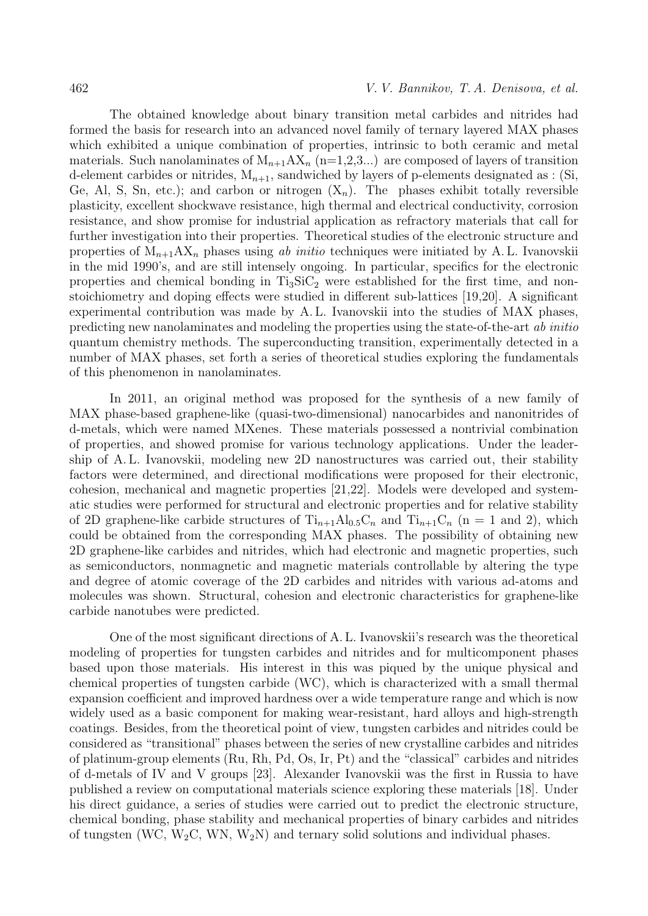The obtained knowledge about binary transition metal carbides and nitrides had formed the basis for research into an advanced novel family of ternary layered MAX phases which exhibited a unique combination of properties, intrinsic to both ceramic and metal materials. Such nanolaminates of  $M_{n+1}AX_n$  (n=1,2,3...) are composed of layers of transition d-element carbides or nitrides,  $M_{n+1}$ , sandwiched by layers of p-elements designated as : (Si, Ge, Al, S, Sn, etc.); and carbon or nitrogen  $(X_n)$ . The phases exhibit totally reversible plasticity, excellent shockwave resistance, high thermal and electrical conductivity, corrosion resistance, and show promise for industrial application as refractory materials that call for further investigation into their properties. Theoretical studies of the electronic structure and properties of  $M_{n+1}AX_n$  phases using ab initio techniques were initiated by A. L. Ivanovskii in the mid 1990's, and are still intensely ongoing. In particular, specifics for the electronic properties and chemical bonding in  $Ti<sub>3</sub>SiC<sub>2</sub>$  were established for the first time, and nonstoichiometry and doping effects were studied in different sub-lattices [19,20]. A significant experimental contribution was made by A. L. Ivanovskii into the studies of MAX phases, predicting new nanolaminates and modeling the properties using the state-of-the-art ab initio quantum chemistry methods. The superconducting transition, experimentally detected in a number of MAX phases, set forth a series of theoretical studies exploring the fundamentals of this phenomenon in nanolaminates.

In 2011, an original method was proposed for the synthesis of a new family of MAX phase-based graphene-like (quasi-two-dimensional) nanocarbides and nanonitrides of d-metals, which were named MXenes. These materials possessed a nontrivial combination of properties, and showed promise for various technology applications. Under the leadership of A. L. Ivanovskii, modeling new 2D nanostructures was carried out, their stability factors were determined, and directional modifications were proposed for their electronic, cohesion, mechanical and magnetic properties [21,22]. Models were developed and systematic studies were performed for structural and electronic properties and for relative stability of 2D graphene-like carbide structures of  $Ti_{n+1}Al_{0.5}C_n$  and  $Ti_{n+1}C_n$  (n = 1 and 2), which could be obtained from the corresponding MAX phases. The possibility of obtaining new 2D graphene-like carbides and nitrides, which had electronic and magnetic properties, such as semiconductors, nonmagnetic and magnetic materials controllable by altering the type and degree of atomic coverage of the 2D carbides and nitrides with various ad-atoms and molecules was shown. Structural, cohesion and electronic characteristics for graphene-like carbide nanotubes were predicted.

One of the most significant directions of A. L. Ivanovskii's research was the theoretical modeling of properties for tungsten carbides and nitrides and for multicomponent phases based upon those materials. His interest in this was piqued by the unique physical and chemical properties of tungsten carbide (WC), which is characterized with a small thermal expansion coefficient and improved hardness over a wide temperature range and which is now widely used as a basic component for making wear-resistant, hard alloys and high-strength coatings. Besides, from the theoretical point of view, tungsten carbides and nitrides could be considered as "transitional" phases between the series of new crystalline carbides and nitrides of platinum-group elements (Ru, Rh, Pd, Os, Ir, Pt) and the "classical" carbides and nitrides of d-metals of IV and V groups [23]. Alexander Ivanovskii was the first in Russia to have published a review on computational materials science exploring these materials [18]. Under his direct guidance, a series of studies were carried out to predict the electronic structure, chemical bonding, phase stability and mechanical properties of binary carbides and nitrides of tungsten (WC,  $W_2C$ , WN,  $W_2N$ ) and ternary solid solutions and individual phases.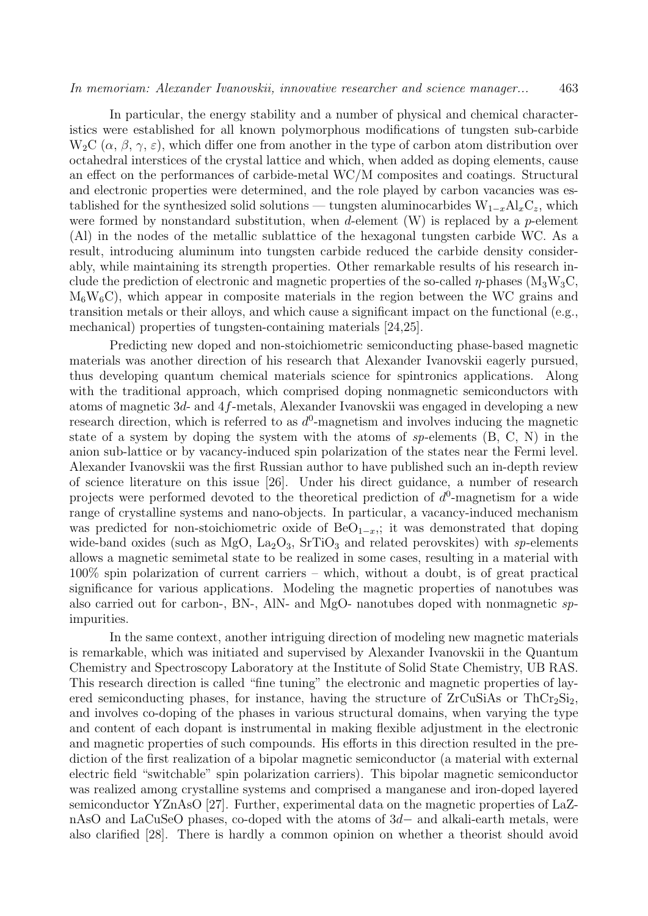In particular, the energy stability and a number of physical and chemical characteristics were established for all known polymorphous modifications of tungsten sub-carbide  $W_2C(\alpha, \beta, \gamma, \varepsilon)$ , which differ one from another in the type of carbon atom distribution over octahedral interstices of the crystal lattice and which, when added as doping elements, cause an effect on the performances of carbide-metal WC/M composites and coatings. Structural and electronic properties were determined, and the role played by carbon vacancies was established for the synthesized solid solutions — tungsten aluminocarbides  $W_{1-x}Al_xC_z$ , which were formed by nonstandard substitution, when d-element  $(W)$  is replaced by a p-element (Al) in the nodes of the metallic sublattice of the hexagonal tungsten carbide WC. As a result, introducing aluminum into tungsten carbide reduced the carbide density considerably, while maintaining its strength properties. Other remarkable results of his research include the prediction of electronic and magnetic properties of the so-called  $\eta$ -phases (M<sub>3</sub>W<sub>3</sub>C,  $M_6W_6C$ , which appear in composite materials in the region between the WC grains and transition metals or their alloys, and which cause a significant impact on the functional (e.g., mechanical) properties of tungsten-containing materials [24,25].

Predicting new doped and non-stoichiometric semiconducting phase-based magnetic materials was another direction of his research that Alexander Ivanovskii eagerly pursued, thus developing quantum chemical materials science for spintronics applications. Along with the traditional approach, which comprised doping nonmagnetic semiconductors with atoms of magnetic 3d- and 4f-metals, Alexander Ivanovskii was engaged in developing a new research direction, which is referred to as  $d^0$ -magnetism and involves inducing the magnetic state of a system by doping the system with the atoms of sp-elements (B, C, N) in the anion sub-lattice or by vacancy-induced spin polarization of the states near the Fermi level. Alexander Ivanovskii was the first Russian author to have published such an in-depth review of science literature on this issue [26]. Under his direct guidance, a number of research projects were performed devoted to the theoretical prediction of  $d^0$ -magnetism for a wide range of crystalline systems and nano-objects. In particular, a vacancy-induced mechanism was predicted for non-stoichiometric oxide of  $BeO<sub>1-x</sub>$ ; it was demonstrated that doping wide-band oxides (such as MgO,  $La_2O_3$ ,  $SrTiO_3$  and related perovskites) with sp-elements allows a magnetic semimetal state to be realized in some cases, resulting in a material with 100% spin polarization of current carriers – which, without a doubt, is of great practical significance for various applications. Modeling the magnetic properties of nanotubes was also carried out for carbon-, BN-, AlN- and MgO- nanotubes doped with nonmagnetic spimpurities.

In the same context, another intriguing direction of modeling new magnetic materials is remarkable, which was initiated and supervised by Alexander Ivanovskii in the Quantum Chemistry and Spectroscopy Laboratory at the Institute of Solid State Chemistry, UB RAS. This research direction is called "fine tuning" the electronic and magnetic properties of layered semiconducting phases, for instance, having the structure of  $ZrCuSiAs$  or  $ThCr<sub>2</sub>Si<sub>2</sub>$ , and involves co-doping of the phases in various structural domains, when varying the type and content of each dopant is instrumental in making flexible adjustment in the electronic and magnetic properties of such compounds. His efforts in this direction resulted in the prediction of the first realization of a bipolar magnetic semiconductor (a material with external electric field "switchable" spin polarization carriers). This bipolar magnetic semiconductor was realized among crystalline systems and comprised a manganese and iron-doped layered semiconductor YZnAsO [27]. Further, experimental data on the magnetic properties of LaZnAsO and LaCuSeO phases, co-doped with the atoms of 3d− and alkali-earth metals, were also clarified [28]. There is hardly a common opinion on whether a theorist should avoid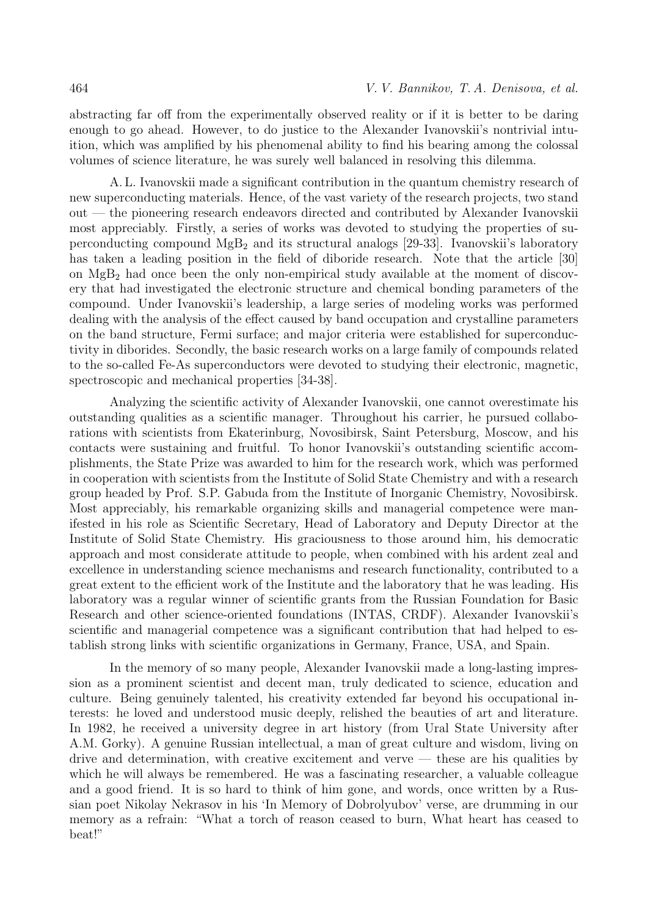abstracting far off from the experimentally observed reality or if it is better to be daring enough to go ahead. However, to do justice to the Alexander Ivanovskii's nontrivial intuition, which was amplified by his phenomenal ability to find his bearing among the colossal volumes of science literature, he was surely well balanced in resolving this dilemma.

A. L. Ivanovskii made a significant contribution in the quantum chemistry research of new superconducting materials. Hence, of the vast variety of the research projects, two stand out — the pioneering research endeavors directed and contributed by Alexander Ivanovskii most appreciably. Firstly, a series of works was devoted to studying the properties of superconducting compound  $MgB_2$  and its structural analogs [29-33]. Ivanovskii's laboratory has taken a leading position in the field of diboride research. Note that the article [30] on  $MgB<sub>2</sub>$  had once been the only non-empirical study available at the moment of discovery that had investigated the electronic structure and chemical bonding parameters of the compound. Under Ivanovskii's leadership, a large series of modeling works was performed dealing with the analysis of the effect caused by band occupation and crystalline parameters on the band structure, Fermi surface; and major criteria were established for superconductivity in diborides. Secondly, the basic research works on a large family of compounds related to the so-called Fe-As superconductors were devoted to studying their electronic, magnetic, spectroscopic and mechanical properties [34-38].

Analyzing the scientific activity of Alexander Ivanovskii, one cannot overestimate his outstanding qualities as a scientific manager. Throughout his carrier, he pursued collaborations with scientists from Ekaterinburg, Novosibirsk, Saint Petersburg, Moscow, and his contacts were sustaining and fruitful. To honor Ivanovskii's outstanding scientific accomplishments, the State Prize was awarded to him for the research work, which was performed in cooperation with scientists from the Institute of Solid State Chemistry and with a research group headed by Prof. S.P. Gabuda from the Institute of Inorganic Chemistry, Novosibirsk. Most appreciably, his remarkable organizing skills and managerial competence were manifested in his role as Scientific Secretary, Head of Laboratory and Deputy Director at the Institute of Solid State Chemistry. His graciousness to those around him, his democratic approach and most considerate attitude to people, when combined with his ardent zeal and excellence in understanding science mechanisms and research functionality, contributed to a great extent to the efficient work of the Institute and the laboratory that he was leading. His laboratory was a regular winner of scientific grants from the Russian Foundation for Basic Research and other science-oriented foundations (INTAS, CRDF). Alexander Ivanovskii's scientific and managerial competence was a significant contribution that had helped to establish strong links with scientific organizations in Germany, France, USA, and Spain.

In the memory of so many people, Alexander Ivanovskii made a long-lasting impression as a prominent scientist and decent man, truly dedicated to science, education and culture. Being genuinely talented, his creativity extended far beyond his occupational interests: he loved and understood music deeply, relished the beauties of art and literature. In 1982, he received a university degree in art history (from Ural State University after A.M. Gorky). A genuine Russian intellectual, a man of great culture and wisdom, living on drive and determination, with creative excitement and verve — these are his qualities by which he will always be remembered. He was a fascinating researcher, a valuable colleague and a good friend. It is so hard to think of him gone, and words, once written by a Russian poet Nikolay Nekrasov in his 'In Memory of Dobrolyubov' verse, are drumming in our memory as a refrain: "What a torch of reason ceased to burn, What heart has ceased to beat!"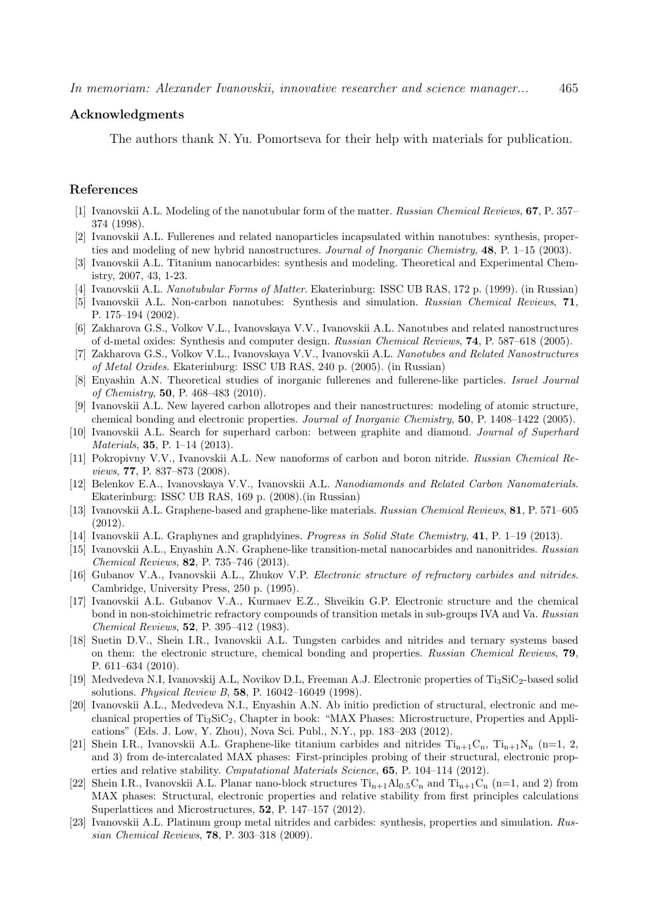## Acknowledgments

The authors thank N. Yu. Pomortseva for their help with materials for publication.

## References

- [1] Ivanovskii A.L. Modeling of the nanotubular form of the matter. Russian Chemical Reviews, 67, P. 357– 374 (1998).
- [2] Ivanovskii A.L. Fullerenes and related nanoparticles incapsulated within nanotubes: synthesis, properties and modeling of new hybrid nanostructures. Journal of Inorganic Chemistry, 48, P. 1–15 (2003).
- [3] Ivanovskii A.L. Titanium nanocarbides: synthesis and modeling. Theoretical and Experimental Chemistry, 2007, 43, 1-23.
- [4] Ivanovskii A.L. Nanotubular Forms of Matter. Ekaterinburg: ISSC UB RAS, 172 p. (1999). (in Russian)
- [5] Ivanovskii A.L. Non-carbon nanotubes: Synthesis and simulation. Russian Chemical Reviews, 71, P. 175–194 (2002).
- [6] Zakharova G.S., Volkov V.L., Ivanovskaya V.V., Ivanovskii A.L. Nanotubes and related nanostructures of d-metal oxides: Synthesis and computer design. Russian Chemical Reviews, 74, P. 587–618 (2005).
- [7] Zakharova G.S., Volkov V.L., Ivanovskaya V.V., Ivanovskii A.L. Nanotubes and Related Nanostructures of Metal Oxides. Ekaterinburg: ISSC UB RAS, 240 p. (2005). (in Russian)
- [8] Enyashin A.N. Theoretical studies of inorganic fullerenes and fullerene-like particles. Israel Journal of Chemistry, 50, P. 468–483 (2010).
- [9] Ivanovskii A.L. New layered carbon allotropes and their nanostructures: modeling of atomic structure, chemical bonding and electronic properties. Journal of Inorganic Chemistry, 50, P. 1408–1422 (2005).
- [10] Ivanovskii A.L. Search for superhard carbon: between graphite and diamond. Journal of Superhard Materials, **35**, P. 1–14 (2013).
- [11] Pokropivny V.V., Ivanovskii A.L. New nanoforms of carbon and boron nitride. Russian Chemical Reviews, 77, P. 837–873 (2008).
- [12] Belenkov E.A., Ivanovskaya V.V., Ivanovskii A.L. Nanodiamonds and Related Carbon Nanomaterials. Ekaterinburg: ISSC UB RAS, 169 p. (2008).(in Russian)
- [13] Ivanovskii A.L. Graphene-based and graphene-like materials. Russian Chemical Reviews, 81, P. 571–605 (2012).
- [14] Ivanovskii A.L. Graphynes and graphdyines. Progress in Solid State Chemistry, 41, P. 1–19 (2013).
- [15] Ivanovskii A.L., Enyashin A.N. Graphene-like transition-metal nanocarbides and nanonitrides. Russian Chemical Reviews, 82, P. 735–746 (2013).
- [16] Gubanov V.A., Ivanovskii A.L., Zhukov V.P. Electronic structure of refractory carbides and nitrides. Cambridge, University Press, 250 p. (1995).
- [17] Ivanovskii A.L. Gubanov V.A., Kurmaev E.Z., Shveikin G.P. Electronic structure and the chemical bond in non-stoichimetric refractory compounds of transition metals in sub-groups IVA and Va. Russian Chemical Reviews, 52, P. 395–412 (1983).
- [18] Suetin D.V., Shein I.R., Ivanovskii A.L. Tungsten carbides and nitrides and ternary systems based on them: the electronic structure, chemical bonding and properties. Russian Chemical Reviews, 79, P. 611–634 (2010).
- [19] Medvedeva N.I, Ivanovskij A.L, Novikov D.L, Freeman A.J. Electronic properties of Ti<sub>3</sub>SiC<sub>2</sub>-based solid solutions. Physical Review B, 58, P. 16042–16049 (1998).
- [20] Ivanovskii A.L., Medvedeva N.I., Enyashin A.N. Ab initio prediction of structural, electronic and mechanical properties of Ti3SiC2, Chapter in book: "MAX Phases: Microstructure, Properties and Applications" (Eds. J. Low, Y. Zhou), Nova Sci. Publ., N.Y., pp. 183–203 (2012).
- [21] Shein I.R., Ivanovskii A.L. Graphene-like titanium carbides and nitrides  $Ti_{n+1}C_n$ ,  $Ti_{n+1}N_n$  (n=1, 2, and 3) from de-intercalated MAX phases: First-principles probing of their structural, electronic properties and relative stability. Cmputational Materials Science, 65, P. 104–114 (2012).
- [22] Shein I.R., Ivanovskii A.L. Planar nano-block structures  $Ti_{n+1}Al_{0.5}C_n$  and  $Ti_{n+1}C_n$  (n=1, and 2) from MAX phases: Structural, electronic properties and relative stability from first principles calculations Superlattices and Microstructures, 52, P. 147–157 (2012).
- [23] Ivanovskii A.L. Platinum group metal nitrides and carbides: synthesis, properties and simulation. Russian Chemical Reviews, 78, P. 303–318 (2009).